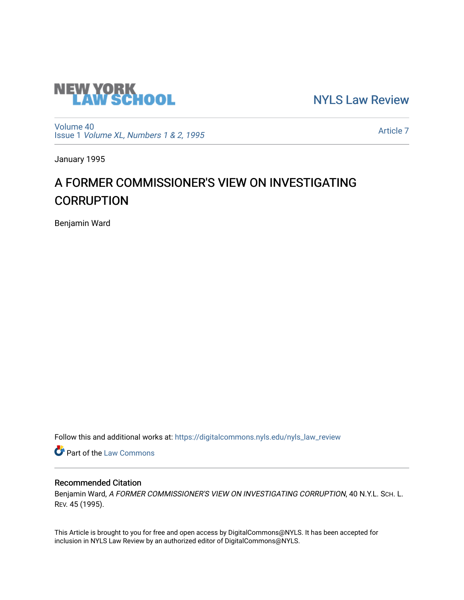

[NYLS Law Review](https://digitalcommons.nyls.edu/nyls_law_review) 

[Volume 40](https://digitalcommons.nyls.edu/nyls_law_review/vol40) Issue 1 [Volume XL, Numbers 1 & 2, 1995](https://digitalcommons.nyls.edu/nyls_law_review/vol40/iss1)

[Article 7](https://digitalcommons.nyls.edu/nyls_law_review/vol40/iss1/7) 

January 1995

# A FORMER COMMISSIONER'S VIEW ON INVESTIGATING **CORRUPTION**

Benjamin Ward

Follow this and additional works at: [https://digitalcommons.nyls.edu/nyls\\_law\\_review](https://digitalcommons.nyls.edu/nyls_law_review?utm_source=digitalcommons.nyls.edu%2Fnyls_law_review%2Fvol40%2Fiss1%2F7&utm_medium=PDF&utm_campaign=PDFCoverPages) 

**Part of the [Law Commons](https://network.bepress.com/hgg/discipline/578?utm_source=digitalcommons.nyls.edu%2Fnyls_law_review%2Fvol40%2Fiss1%2F7&utm_medium=PDF&utm_campaign=PDFCoverPages)** 

## Recommended Citation

Benjamin Ward, A FORMER COMMISSIONER'S VIEW ON INVESTIGATING CORRUPTION, 40 N.Y.L. SCH. L. REV. 45 (1995).

This Article is brought to you for free and open access by DigitalCommons@NYLS. It has been accepted for inclusion in NYLS Law Review by an authorized editor of DigitalCommons@NYLS.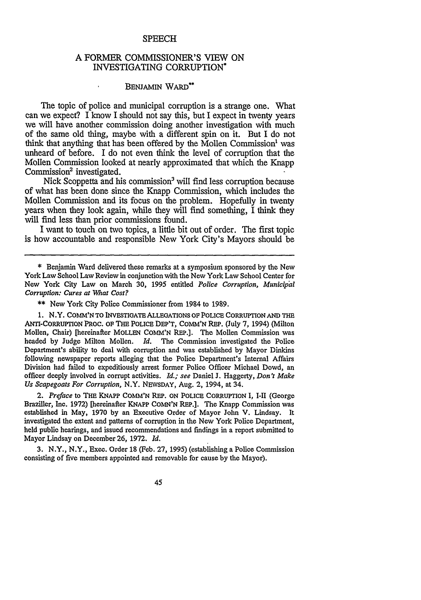#### **SPEECH**

### **A** FORMER COMMISSIONER'S VIEW **ON** INVESTIGATING CORRUPTION\*

#### **BENJAMIN WARD"**

 $\ddot{\phantom{1}}$ 

The topic of police and municipal corruption is a strange one. What can we expect? I know I should not say this, but I expect in twenty years we will have another commission doing another investigation with much of the same old thing, maybe with a different spin on it. But I do not think that anything that has been offered by the Mollen Commission<sup>1</sup> was unheard of before. I do not even think the level of corruption that the Mollen Commission looked at nearly approximated that which the Knapp Commission<sup>2</sup> investigated.

Nick Scoppetta and his commission<sup>3</sup> will find less corruption because of what has been done since the Knapp Commission, which includes the Mollen Commission and its focus on the problem. Hopefully in twenty years when they look again, while they will find something, I think they will find less than prior commissions found.

I want to touch on two topics, a little bit out of order. The first topic is how accountable and responsible New York City's Mayors should be

**\*\*** New York City Police Commissioner from 1984 to 1989.

1. N.Y. COMM'N TO INVESTIGATE ALLEGATIONS OF POLICE CORRUPTION AND THE ANTI-CORRUPTION PROC. OF THE POLICE DEP'T, COMM'N REP. (July 7, 1994) (Milton Mollen, Chair) [hereinafter MOLLEN COMM'N REP.]. The Mollen Commission was headed by Judge Milton Mollen. *Id.* The Commission investigated the Police Department's ability to deal with corruption and was established by Mayor Dinkins following newspaper reports alleging that the Police Department's Internal Affairs Division had failed to expeditiously arrest former Police Officer Michael Dowd, an officer deeply involved in corrupt activities. *Id.; see* Daniel J. Haggerty, *Don't Make Us Scapegoats For Corruption,* N.Y. NEWSDAY, Aug. 2, 1994, at 34.

*2. Preface* to THE KNAPP **COMM'N REP. ON POLICE** CORRUPTION I, **I-I1** (George Braziller, Inc. 1972) [hereinafter KNAPP COMN'N REP.]. The Knapp Commission was established in May, 1970 **by** an Executive Order of Mayor John V. Lindsay. It investigated the extent and patterns of corruption in the New York Police Department, held public hearings, and issued recommendations and findings in a report submitted to Mayor Lindsay on December 26, 1972. *Id.*

**3.** N.Y., N.Y., Exec. Order 18 (Feb. **27,** 1995) (establishing a Police Commission consisting of five members appointed and removable for cause **by** the Mayor).

45

**<sup>\*</sup>** Benjamin Ward delivered these remarks at a symposium sponsored by the New York Law School Law Review in conjunction with the New York Law School Center for New York City Law on March **30,** 1995 entitled *Police Corruption, Municip'al Corruption: Cures at What Cost?*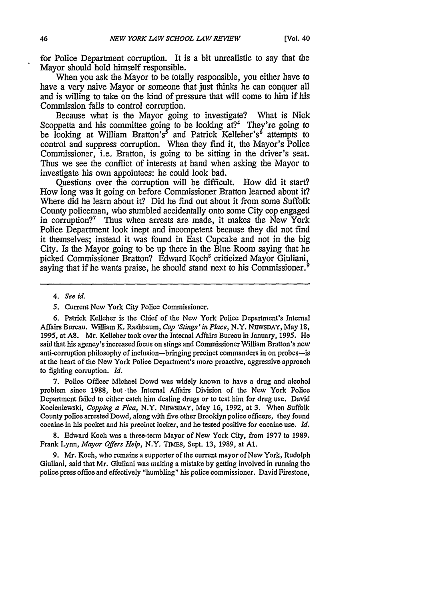for Police Department corruption. It is a bit unrealistic to say that the Mayor should hold himself responsible.

When you ask the Mayor to be totally responsible, you either have to have a very naive Mayor or someone that just thinks he can conquer all and is willing to take on the kind of pressure that will come to him if his Commission fails to control corruption.

Because what is the Mayor going to investigate? What is Nick Scoppetta and his committee going to be looking  $at$ ?<sup>4</sup> They're going to be looking at William Bratton's<sup>5</sup> and Patrick Kelleher's<sup>6</sup> attempts to control and suppress corruption. When they find it, the Mayor's Police Commissioner, i.e. Bratton, is going to be sitting in the driver's seat. Thus we see the conflict of interests at hand when asking the Mayor to investigate his own appointees: he could look bad.

Questions over the corruption will be difficult. How did it start? How long was it going on before Commissioner Bratton learned about it? Where did he learn about it? Did he find out about it from some Suffolk County policeman, who stumbled accidentally onto some City cop engaged in corruption?<sup>7</sup> Thus when arrests are made, it makes the New York Police Department look inept and incompetent because they did not find it themselves; instead it was found in East Cupcake and not in the big City. Is the Mayor going to be up there in the Blue Room saying that he picked Commissioner Bratton? Edward Koch' criticized Mayor Giuliani, saying that if he wants praise, he should stand next to his Commissioner.<sup>9</sup>

6. Patrick Kelleher is the Chief of the New York Police Department's Internal Affairs Bureau. William K. Rashbaum, *Cop 'Stings' in Place,* N.Y. NEvsDAY, May 18, 1995, at A8. Mr. Kelleher took over the Internal Affairs Bureau in January, 1995. He said that his agency's increased focus on stings and Commissioner William Bratton's new anti-corruption philosophy of inclusion-bringing precinct commanders in on probes-is at the heart of the New York Police Department's more proactive, aggressive approach to fighting corruption. *Id.*

7. Police Officer Michael Dowd was widely known to have a drug and alcohol problem since 1988, but the Internal Affairs Division of the New York Police Department failed to either catch him dealing drugs or to test him for drug use. David Kocieniewski, *Copping a Plea,* N.Y. NEwSDAY, May 16, 1992, at 3. When Suffolk County police arrested Dowd, along with five other Brooklyn police officers, they found cocaine in his pocket and his precinct locker, and he tested positive for cocaine use. *Id.*

8. Edward Koch was a three-term Mayor of New York City, from 1977 to 1989. Frank Lynn, *Mayor Offers Help,* N.Y. TIMES, Sept. 13, 1989, at **Al.**

9. Mr. Koch, who remains a supporter of the current mayor of New York, Rudolph Giuliani, said that Mr. Giuliani was making a mistake by getting involved in running the police press office and effectively "humbling" his police commissioner. David Firestone,

*<sup>4.</sup> See id.*

<sup>5.</sup> Current New York City Police Commissioner.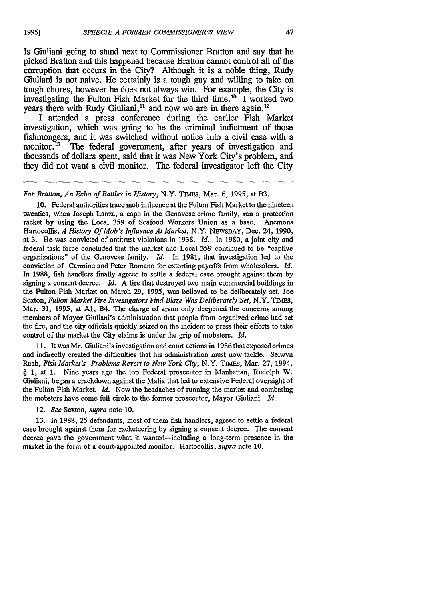Is Giuliani going to stand next to Commissioner Bratton and say that he picked Bratton and this happened because Bratton cannot control all of the corruption that occurs in the City? Although it is a noble thing, Rudy Giuliani is not naive. He certainly is a tough guy and willing to take on tough chores, however he does not always win. For example, the City is investigating the Fulton Fish Market for the third time.<sup>10</sup> I worked two years there with Rudy Giuliani,<sup>11</sup> and now we are in there again.<sup>12</sup>

I attended a press conference during the earlier Fish Market investigation, which was going to be the criminal indictment of those fishmongers, and it was switched without notice into a civil case with a monitor.<sup>13</sup> The federal government, after years of investigation and thousands of dollars spent, said that it was New York City's problem, and they did not want a civil monitor. The federal investigator left the City

*For Bratton, An Echo of Battles in History, N.Y. TIMES, Mar. 6, 1995, at B3.* 

10. Federal authorities trace mob influence at the Fulton Fish Market to the nineteen twenties, when Joseph Lanza, a capo in the Genovese crime family, ran a protection racket by using the Local 359 of Seafood Workers Union as a base. Anemona Hartocollis, *A History Of Mob's Influence At Market,* N.Y. NEWSDAY, Dec. 24, 1990, at 3. He was convicted of antitrust violations in 1938. *Id.* In 1980, a joint city and federal task force concluded that the market and Local 359 continued to be "captive organizations" of the Genovese family. *Id.* In 1981, that investigation led to the conviction of Carmine and Peter Romano for extorting payoffs from wholesalers. *Id.* In 1988, fish handlers finally agreed to settle a federal case brought against them by signing a consent decree. *Id.* A fire that destroyed two main commercial buildings in the Fulton Fish Market on March 29, 1995, was believed to be deliberately set. Joe Sexton, *Fulton Market Fire Investigators Find Blaze Was Deliberately Set,* N.Y. Tams, Mar. 31, 1995, at **Al,** B4. The charge of arson only deepened the concerns among members of Mayor Giuliani's administration that people from organized crime had set the fire, and the city officials quickly seized on the incident to press their efforts to take control of the market the City claims is under the grip of mobsters. *Id.*

11. It was Mr. Giuliani's investigation and court actions in 1986 that exposed crimes and indirectly created the difficulties that his administration must now tackle. Selwyn Raab, *Fish Market's Problems Revert to New York City,* N.Y. TmIES, Mar. 27, 1994, § 1, at 1. Nine years ago the top Federal prosecutor in Manhattan, Rudolph W. Giuliani, began a crackdown against the Mafia that led to extensive Federal oversight of the Fulton Fish Market. *Id.* Now the headaches of running the market and combating the mobsters have come full circle to the former prosecutor, Mayor Giuliani. *Id.*

12. *See* Sexton, *supra* note 10.

13. In 1988, 25 defendants, most of them fish handlers, agreed to settle a federal case brought against them for racketeering by signing a consent decree. The consent decree gave the government what it wanted-including a long-term presence in the market in the form of a court-appointed monitor. Hartocollis, *supra* note 10.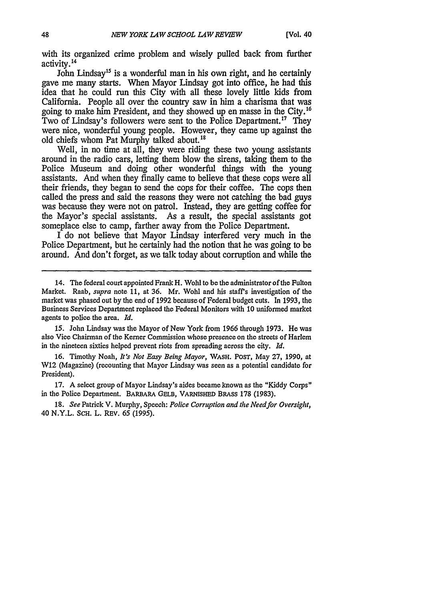with its organized crime problem and wisely pulled back from further activity.<sup>14</sup>

John Lindsay<sup>15</sup> is a wonderful man in his own right, and he certainly gave me many starts. When Mayor Lindsay got into office, he had this idea that he could run this City with all these lovely little kids from California. People all over the country saw in him a charisma that was going to make him President, and they showed up en masse in the City.<sup>16</sup> Two of Lindsay's followers were sent to the Police Department.<sup>17</sup> They were nice, wonderful young people. However, they came up against the old chiefs whom Pat Murphy talked about.<sup>18</sup>

Well, in no time at all, they were riding these two young assistants around in the radio cars, letting them blow the sirens, taking them to the Police Museum and doing other wonderful things with the young assistants. *And* when they finally came to believe that these cops were all their friends, they began to send the cops for their coffee. The cops then called the press and said the reasons they were not catching the bad guys was because they were not on patrol. Instead, they are getting coffee for the Mayor's special assistants. As a result, the special assistants got someplace else to camp, farther away from the Police Department.

I do not believe that Mayor Lindsay interfered very much in the Police Department, but he certainly had the notion that he was going to be around. And don't forget, as we talk today about corruption and while the

15. John Lindsay was the Mayor of New York from 1966 through 1973. He was also Vice Chairman of the Kerner Commission whose presence on the streets of Harlem in the nineteen sixties helped prevent riots from spreading across the city. *Id.*

16. Timothy Noah, *It's Not Easy Being Mayor,* WASH. POST, May 27, 1990, at W12 (Magazine) (recounting that Mayor Lindsay was seen as a potential candidate for President).

**17.** A select group of Mayor Lindsay's aides became known as the "Kiddy Corps" in the Police Department. BARBARA GELB, VARNISHED BRASS **178 (1983).**

18. *See* Patrick V. Murphy, Speech: *Police Corruption and the Need for Oversight,* 40 N.Y.L. SCH. L. REV. 65 (1995).

<sup>14.</sup> The federal court appointed Frank H. Wohl to be the administrator of the Fulton Market. Raab, *supra* note 11, at 36. Mr. Wohl and his staff's investigation of the market was phased out by the end of 1992 because of Federal budget cuts. In 1993, the Business Services Department replaced the Federal Monitors with **10** uniformed market agents to police the area. *Id.*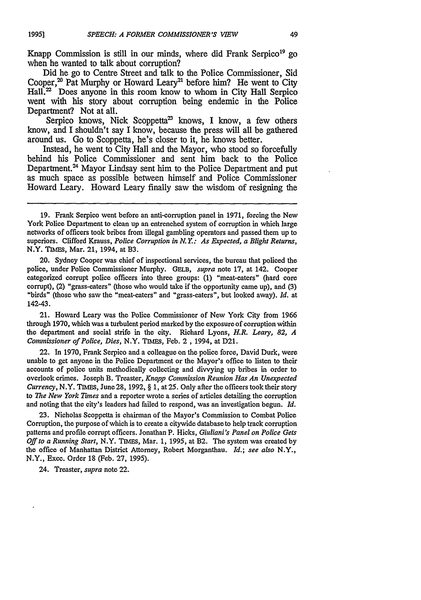**1995]**

Knapp Commission is still in our minds, where did Frank Serpico<sup>19</sup> go when he wanted to talk about corruption?

Did he go to Centre Street and talk to the Police Commissioner, Sid Cooper,<sup>20</sup> Pat Murphy or Howard Leary<sup>21</sup> before him? He went to City Hall.<sup>22</sup> Does anyone in this room know to whom in City Hall Serpico went with his story about corruption being endemic in the Police Department? Not at all.

Serpico knows, Nick Scoppetta<sup>23</sup> knows, I know, a few others know, and I shouldn't say I know, because the press will all be gathered around us. Go to Scoppetta, he's closer to it, he knows better.

Instead, he went to City Hall and the Mayor, who stood so forcefully behind his Police Commissioner and sent him back to the Police Department.<sup>24</sup> Mayor Lindsay sent him to the Police Department and put as much space as possible between himself and Police Commissioner Howard Leary. Howard Leary finally saw the wisdom of resigning the

20. Sydney Cooper was chief of inspectional services, the bureau that policed the police, under Police Commissioner Murphy. **GELB,** *supra* note **17,** at 142. Cooper categorized corrupt police officers into three groups: (1) "meat-eaters" (hard core corrupt), (2) "grass-eaters" (those who would take if the opportunity came up), and (3) "birds" (those who saw the "meat-eaters" and "grass-eaters", but looked away). *Id.* at 142-43.

21. Howard Leary was the Police Commissioner of New York City from 1966 through 1970, which was a turbulent period marked **by** the exposure of corruption within the department and social strife in the city. Richard Lyons, *H.R. Leary, 82, A Commissioner of Police, Dies,* N.Y. TIMEs, Feb. **2,** 1994, at D21.

22. In 1970, Frank Serpico and a colleague on the police force, David Durk, were unable to get anyone in the Police Department or the Mayor's office to listen to their accounts of police units methodically collecting and divvying up bribes in order to overlook crimes. Joseph B. Treaster, *Knapp Commission Reunion Has An Unexpected Currency,* N.Y. **TIMES,** June **28,** 1992, § 1, at **25.** Only after the officers took their story to *The New York Tunes* and a reporter wrote a series of articles detailing the corruption and noting that the city's leaders had failed to respond, was an investigation begun. *Id.*

**23.** Nicholas Scoppetta is chairman of the Mayor's Commission to Combat Police Corruption, the purpose of which is to create a citywide database to help track corruption patterns and profile corrupt officers. Jonathan P. Hicks, *Giuliani's Panel on Police Gets Off to a Running Start,* N.Y. TIMES, Mar. 1, 1995, at B2. The system was created **by** the office of Manhattan District Attorney, Robert Morganthau. *Id.; see also* N.Y., N.Y., Exec. Order 18 (Feb. **27,** 1995).

24. Treaster, *supra* note 22.

**<sup>19.</sup>** Frank Serpico went before an anti-corruption panel in 1971, forcing the New York Police Department to clean up an entrenched system of corruption in which large networks of officers took bribes from illegal gambling operators and passed them up to superiors. Clifford Krauss, *Police Corruption in N. Y.: As Expected, a Blight Returns,* N.Y. **TIMES,** Mar. 21, 1994, at B3.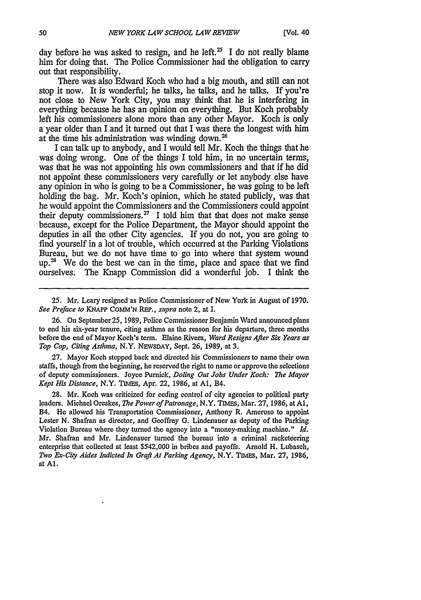day before he was asked to resign, and he left.<sup>25</sup> I do not really blame him for doing that. The Police Commissioner had the obligation to carry out that responsibility.

There was also Edward Koch who had a big mouth, and still can not stop it now. It is wonderful; he talks, he talks, and he talks. If you're not close to New York City, you may think that he is interfering in everything because he has an opinion on everything. But Koch probably left his commissioners alone more than any other Mayor. Koch is only a year older than I and it turned out that I was there the longest with him at the time his administration was winding down.<sup>26</sup>

I can talk up to anybody, and I would tell Mr. Koch the things that he was doing wrong. One of the things I told him, in no uncertain terms, was that he was not appointing his own commissioners and that if he did not appoint these commissioners very carefully or let anybody else have any opinion in who is going to be a Commissioner, he was going to be left holding the bag. Mr. Koch's opinion, which he stated publicly, was that he would appoint the Commissioners and the Commissioners could appoint their deputy commissioners.<sup>27</sup> I told him that that does not make sense because, except for the Police Department, the Mayor should appoint the deputies in all the other City agencies. If you do not, you are going to find yourself in a lot of trouble, which occurred at the Parking Violations Bureau, but we do not have time to go into where that system wound  $up.^{28}$  We do the best we can in the time, place and space that we find ourselves. The Knapp Commission did a wonderful job. I think the

25. Mr. Leary resigned as Police Commissioner of New York in August of 1970. *See Preface to* **KNAPP COMM'N** REP., *supra* note 2, at **I.**

26. On September25, 1989, Police Commissioner Benjamin Ward announced plans to end his six-year tenure, citing asthma as the reason for his departure, three months before the end of Mayor Koch's term. Elaine Rivera, *Ward Resigns After Six Years as Top Cop, Citing Asthma,* N.Y. NEWSDAY, Sept. 26, 1989, at 3.

27. Mayor Koch stepped back and directed his Commissioners to name their own staffs, though from the beginning, he reserved the right to name or approve the selections of deputy commissioners. Joyce Purnick, *Doling Out Jobs Under Koch: The Mayor Kept His Distance,* N.Y. **TmEs,** Apr. 22, 1986, at **Al,** B4.

28. Mr. Koch was criticized for ceding control of city agencies to political party leaders. Michael Oreskes, *The Power of Patronage,* N.Y. TIMEs, Mar. 27, 1986, at **Al,** B4. He allowed his Transportation Commissioner, Anthony R. Ameruso to appoint Lester N. Shafran as director, and Geoffrey G. Lindenauer as deputy of the Parking Violation Bureau where they turned the agency into a "money-making machine." *Id.* Mr. Shafran and Mr. Lindenauer turned the bureau into a criminal racketeering enterprise that collected at least \$542,000 in bribes and payoffs. Arnold H. Lubasch, *Two Ex-City Aides Indicted In Graft At Parking Agency,* N.Y. Tinrs, Mar. **27,** 1986, at **Al.**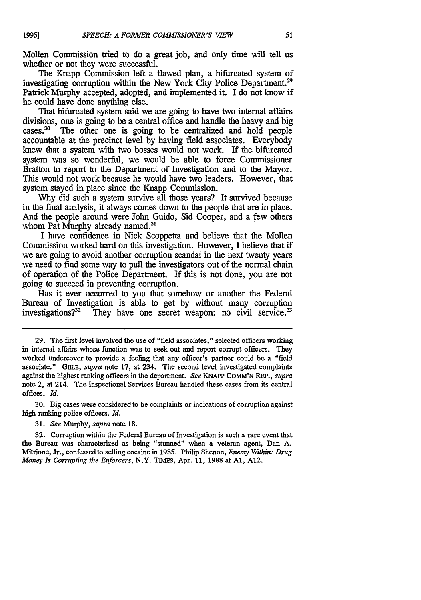**1995]**

Mollen Commission tried to do a great job, and only time will tell us whether or not they were successful.

The Knapp Commission left a flawed plan, a bifurcated system of investigating corruption within the New York City Police Department.<sup>29</sup> Patrick Murphy accepted, adopted, and implemented it. I do not know if he could have done anything else.

That bifurcated system said we are going to have two internal affairs divisions, one is going to be a central office and handle the heavy and big cases.<sup>30</sup> The other one is going to be centralized and hold people accountable at the precinct level by having field associates. Everybody knew that a system with two bosses would not work. If the bifurcated system was so wonderful, we would be able to force Commissioner Bratton to report to the Department of Investigation and to the Mayor. This would not work because he would have two leaders. However, that system stayed in place since the Knapp Commission.

Why did such a system survive all those years? It survived because in the final analysis, it always comes down to the people that are in place. And the people around were John Guido, Sid Cooper, and a few others whom Pat Murphy already named.<sup>31</sup>

I have confidence in Nick Scoppetta and believe that the Mollen Commission worked hard on this investigation. However, I believe that if we are going to avoid another corruption scandal in the next twenty years we need to find some way to pull the investigators out of the normal chain of operation of the Police Department. If this is not done, you are not going to succeed in preventing corruption.

Has it ever occurred to you that somehow or another the Federal Bureau of Investigation is able to get by without many corruption investigations?<sup>32</sup> They have one secret weapon: no civil service.<sup>33</sup>

30. Big cases were considered to be complaints or indications of corruption against high ranking police officers. *Id.*

31. *See* Murphy, *supra* note 18.

32. Corruption within the Federal Bureau of Investigation is such a rare event that the Bureau was characterized as being "stunned" when a veteran agent, Dan A. Mitrione, Jr., confessed to selling cocaine in **1985.** Philip Shenon, *Enemy Within: Drug Money Is Corrupting the Enforcers,* N.Y. TIMEs, Apr. 11, 1988 at **Al,** A12.

<sup>29.</sup> The first level involved the use of "field associates," selected officers working in internal affairs whose function was to seek out and report corrupt officers. They worked undercover to provide a feeling that any officer's partner could be a "field associate." GELB, *supra* note 17, at 234. The second level investigated complaints against the highest ranking officers in the department. *See* KNAPP COMM'N REP., *supra* note 2, at 214. The Inspectional Services Bureau handled these cases from its central offices. *Id.*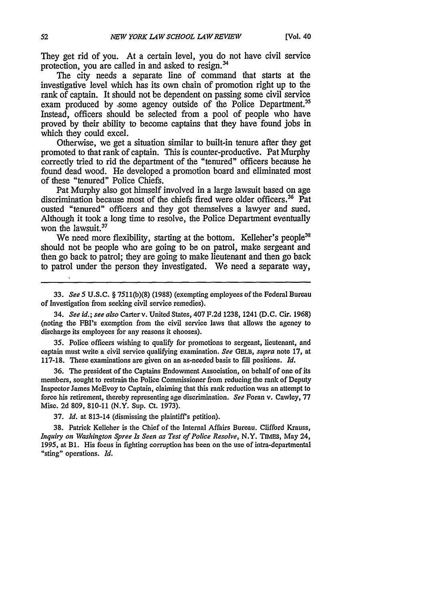They get rid of you. At a certain level, you do not have civil service protection, you are called in and asked to resign. <sup>34</sup>

The city needs a separate line of command that starts at the investigative level which has its own chain of promotion right up to the rank of captain. It should not be dependent on passing some civil service exam produced by some agency outside of the Police Department.<sup>3</sup> Instead, officers should be selected from a pool of people who have proved **by** their ability to become captains that they have found jobs in which they could excel.

Otherwise, we get a situation similar to built-in tenure after they get promoted to that rank of captain. This is counter-productive. Pat Murphy correctly tried to rid the department of the "tenured" officers because he found dead wood. He developed a promotion board and eliminated most of these "tenured" Police Chiefs.

Pat Murphy also got himself involved in a large lawsuit based on age discrimination because most of the chiefs fired were older officers.<sup>36</sup> Pat ousted "tenured" officers and they got themselves a lawyer and sued. Although it took a long time to resolve, the Police Department eventually won the lawsuit.<sup>37</sup>

We need more flexibility, starting at the bottom. Kelleher's people<sup>31</sup> should not be people who are going to be on patrol, make sergeant and then go back to patrol; they are going to make lieutenant and then go back to patrol under the person they investigated. We need a separate way,

34. *See id.; see also* Carterv. United States, 407 F.2d 1238, 1241 (D.C. Cir. 1968) (noting the FBI's exemption from the civil service laws that allows the agency to discharge its employees for any reasons it chooses).

35. Police officers wishing to qualify for promotions to sergeant, lieutenant, and captain must write a civil service qualifying examination. *See* GELE, *supra* note 17, at 117-18. These examinations are given on an as-needed basis to fill positions. *Id.*

36. The president of the Captains Endowment Association, on behalf of one of its members, sought to restrain the Police Commissioner from reducing the rank of Deputy Inspector James McEvoy to Captain, claiming that this rank reduction was an attempt to force his retirement, thereby representing age discrimination. *See* Foran v. Cawley, 77 Misc. **2d** 809, 810-11 (N.Y. Sup. Ct. 1973).

37. *Id.* at 813-14 (dismissing the plaintiffs petition).

38. Patrick Kelleher is the Chief of the Internal Affairs Bureau. Clifford Krauss, *Inquiry on Washington Spree Is Seen as Test of Police Resolve,* N.Y. TIMES, May 24, 1995, at B1. His focus in fighting corruption has been on the use of intra-departmental "sting" operations. *Id.*

<sup>33.</sup> *See 5* U.S.C. § 7511(b)(8) (1988) (exempting employees of the Federal Bureau of Investigation from seeking civil service remedies).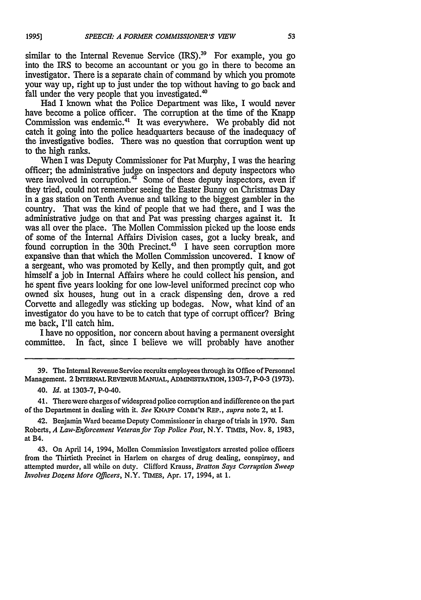similar to the Internal Revenue Service (IRS).<sup>39</sup> For example, you go into the IRS to become an accountant or you go in there to become an investigator. There is a separate chain of command by which you promote your way up, right up to just under the top without having to go back and fall under the very people that you investigated.<sup>40</sup>

Had I known what the Police Department was like, I would never have become a police officer. The corruption at the time of the Knapp Commission was endemic.<sup>41</sup> It was everywhere. We probably did not catch it going into the police headquarters because of the inadequacy of the investigative bodies. There was no question that corruption went up to the high ranks.

When I was Deputy Commissioner for Pat Murphy, I was the hearing officer; the administrative judge on inspectors and deputy inspectors who were involved in corruption.<sup>42</sup> Some of these deputy inspectors, even if they tried, could not remember seeing the Easter Bunny on Christmas Day in a gas station on Tenth Avenue and talking to the biggest gambler in the country. That was the kind of people that we had there, and I was the administrative judge on that and Pat was pressing charges against it. It was all over the place. The Mollen Commission picked up the loose ends of some of the Internal Affairs Division cases, got a lucky break, and found corruption in the 30th Precinct.<sup>43</sup> I have seen corruption more expansive than that which the Mollen Commission uncovered. I know of a sergeant, who was promoted by Kelly, and then promptly quit, and got himself a job in Internal Affairs where he could collect his pension, and he spent five years looking for one low-level uniformed precinct cop who owned six houses, hung out in a crack dispensing den, drove a red Corvette and allegedly was sticking up bodegas. Now, what kind of an investigator do you have to be to catch that type of corrupt officer? Bring me back, I'll catch him.

I have no opposition, nor concern about having a permanent oversight committee. In fact, since I believe we will probably have another

**39.** The Internal Revenue Service recruits employees through its Office of Personnel Management. 2 **INTERNAL** REVENUE MANUAL, ADMINISTRATION, 1303-7, P-0-3 (1973).

40. *Id.* at 1303-7, P-0-40.

41. There were charges of widespread police corruption and indifference on the part of the Department in dealing with **it.** *See* **KNAPP COMM'N REP.,** *supra* note 2, at I.

42. Benjamin Ward became Deputy Commissioner in charge of trials in 1970. Sam Roberts, *A Law-Enforcement Veteran for Top Police Post,* N.Y. TIMEs, Nov. **8,** 1983, at B4.

43. On April 14, 1994, Mollen Commission Investigators arrested police officers from the Thirtieth Precinct in Harlem on charges of drug dealing, conspiracy, and attempted murder, all while on duty. Clifford Krauss, *Bratton Says Corruption Sweep Involves Dozens More Officers,* N.Y. TIMEs, Apr. 17, 1994, at 1.